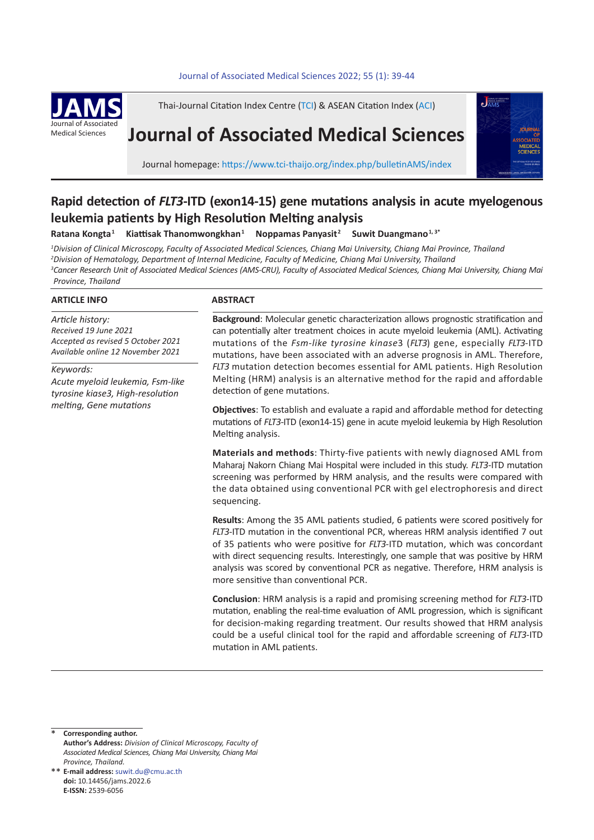## Journal of Associated Medical Sciences 2022; 55 (1): 39-44



Thai-Journal Citation Index Centre (TCI) & ASEAN Citation Index (ACI)

# **Journal of Associated Medical Sciences**



Journal homepage: https://www.tci-thaijo.org/index.php/bulletinAMS/index

## **Rapid detection of** *FLT3***-ITD (exon14-15) gene mutations analysis in acute myelogenous leukemia patients by High Resolution Melting analysis**

**Ratana Kongta1 Kiattisak Thanomwongkhan<sup>1</sup> Noppamas Panyasit<sup>2</sup> Suwit Duangmano1, 3\***

 *Division of Clinical Microscopy, Faculty of Associated Medical Sciences, Chiang Mai University, Chiang Mai Province, Thailand Division of Hematology, Department of Internal Medicine, Faculty of Medicine, Chiang Mai University, Thailand Cancer Research Unit of Associated Medical Sciences (AMS-CRU), Faculty of Associated Medical Sciences, Chiang Mai University, Chiang Mai Province, Thailand*

## **ARTICLE INFO**

*Article history: Received 19 June 2021 Accepted as revised 5 October 2021 Available online 12 November 2021*

*Keywords: Acute myeloid leukemia, Fsm-like tyrosine kiase3, High-resolution melting, Gene mutations*

## **ABSTRACT**

**Background**: Molecular genetic characterization allows prognostic stratification and can potentially alter treatment choices in acute myeloid leukemia (AML). Activating mutations of the *Fsm-like tyrosine kinase*3 (*FLT3*) gene, especially *FLT3*-ITD mutations, have been associated with an adverse prognosis in AML. Therefore, *FLT3* mutation detection becomes essential for AML patients. High Resolution Melting (HRM) analysis is an alternative method for the rapid and affordable detection of gene mutations.

**Objectives**: To establish and evaluate a rapid and affordable method for detecting mutations of *FLT3*-ITD (exon14-15) gene in acute myeloid leukemia by High Resolution Melting analysis.

**Materials and methods**: Thirty-five patients with newly diagnosed AML from Maharaj Nakorn Chiang Mai Hospital were included in this study. *FLT3*-ITD mutation screening was performed by HRM analysis, and the results were compared with the data obtained using conventional PCR with gel electrophoresis and direct sequencing.

**Results**: Among the 35 AML patients studied, 6 patients were scored positively for *FLT3*-ITD mutation in the conventional PCR, whereas HRM analysis identified 7 out of 35 patients who were positive for *FLT3*-ITD mutation, which was concordant with direct sequencing results. Interestingly, one sample that was positive by HRM analysis was scored by conventional PCR as negative. Therefore, HRM analysis is more sensitive than conventional PCR.

**Conclusion**: HRM analysis is a rapid and promising screening method for *FLT3*-ITD mutation, enabling the real-time evaluation of AML progression, which is significant for decision-making regarding treatment. Our results showed that HRM analysis could be a useful clinical tool for the rapid and affordable screening of *FLT3*-ITD mutation in AML patients.

**Corresponding author. Author's Address:** *Division of Clinical Microscopy, Faculty of Associated Medical Sciences, Chiang Mai University, Chiang Mai Province, Thailand.* \*

**E-mail address:** suwit.du@cmu.ac.th \*\***doi:** 10.14456/jams.2022.6 **E-ISSN:** 2539-6056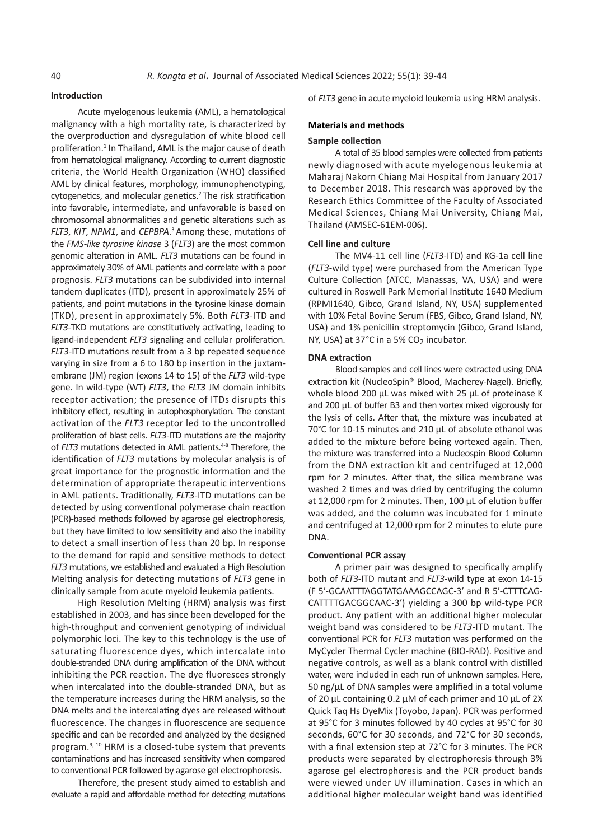## **Introduction**

Acute myelogenous leukemia (AML), a hematological malignancy with a high mortality rate, is characterized by the overproduction and dysregulation of white blood cell proliferation.<sup>1</sup> In Thailand, AML is the major cause of death from hematological malignancy. According to current diagnostic criteria, the World Health Organization (WHO) classified AML by clinical features, morphology, immunophenotyping, cytogenetics, and molecular genetics.<sup>2</sup>The risk stratification into favorable, intermediate, and unfavorable is based on chromosomal abnormalities and genetic alterations such as *FLT3*, *KIT*, *NPM1*, and *CEPBPA*. <sup>3</sup>Among these, mutations of the *FMS-like tyrosine kinase* 3 (*FLT3*) are the most common genomic alteration in AML. *FLT3* mutations can be found in approximately 30% of AML patients and correlate with a poor prognosis. *FLT3* mutations can be subdivided into internal tandem duplicates (ITD), present in approximately 25% of patients, and point mutations in the tyrosine kinase domain (TKD), present in approximately 5%. Both *FLT3*-ITD and *FLT3*-TKD mutations are constitutively activating, leading to ligand-independent *FLT3* signaling and cellular proliferation. *FLT3*-ITD mutations result from a 3 bp repeated sequence varying in size from a 6 to 180 bp insertion in the juxtamembrane (JM) region (exons 14 to 15) of the *FLT3* wild-type gene. In wild-type (WT) *FLT3*, the *FLT3* JM domain inhibits receptor activation; the presence of ITDs disrupts this inhibitory effect, resulting in autophosphorylation. The constant activation of the *FLT3* receptor led to the uncontrolled proliferation of blast cells. *FLT3*-ITD mutations are the majority of *FLT3* mutations detected in AML patients.<sup>4-8</sup> Therefore, the identification of *FLT3* mutations by molecular analysis is of great importance for the prognostic information and the determination of appropriate therapeutic interventions in AML patients. Traditionally, *FLT3*-ITD mutations can be detected by using conventional polymerase chain reaction (PCR)-based methods followed by agarose gel electrophoresis, but they have limited to low sensitivity and also the inability to detect a small insertion of less than 20 bp. In response to the demand for rapid and sensitive methods to detect *FLT3* mutations, we established and evaluated a High Resolution Melting analysis for detecting mutations of *FLT3* gene in clinically sample from acute myeloid leukemia patients.

High Resolution Melting (HRM) analysis was first established in 2003, and has since been developed for the high-throughput and convenient genotyping of individual polymorphic loci. The key to this technology is the use of saturating fluorescence dyes, which intercalate into double-stranded DNA during amplification of the DNA without inhibiting the PCR reaction. The dye fluoresces strongly when intercalated into the double-stranded DNA, but as the temperature increases during the HRM analysis, so the DNA melts and the intercalating dyes are released without fluorescence. The changes in fluorescence are sequence specific and can be recorded and analyzed by the designed program.<sup>9, 10</sup> HRM is a closed-tube system that prevents contaminations and has increased sensitivity when compared to conventional PCR followed by agarose gel electrophoresis.

Therefore, the present study aimed to establish and evaluate a rapid and affordable method for detecting mutations of *FLT3* gene in acute myeloid leukemia using HRM analysis.

## **Materials and methods**

#### **Sample collection**

A total of 35 blood samples were collected from patients newly diagnosed with acute myelogenous leukemia at Maharaj Nakorn Chiang Mai Hospital from January 2017 to December 2018. This research was approved by the Research Ethics Committee of the Faculty of Associated Medical Sciences, Chiang Mai University, Chiang Mai, Thailand (AMSEC-61EM-006).

## **Cell line and culture**

The MV4-11 cell line (*FLT3*-ITD) and KG-1a cell line (*FLT3*-wild type) were purchased from the American Type Culture Collection (ATCC, Manassas, VA, USA) and were cultured in Roswell Park Memorial Institute 1640 Medium (RPMI1640, Gibco, Grand Island, NY, USA) supplemented with 10% Fetal Bovine Serum (FBS, Gibco, Grand Island, NY, USA) and 1% penicillin streptomycin (Gibco, Grand Island, NY, USA) at 37°C in a 5% CO<sub>2</sub> incubator.

#### **DNA extraction**

Blood samples and cell lines were extracted using DNA extraction kit (NucleoSpin® Blood, Macherey-Nagel). Briefly, whole blood 200 µL was mixed with 25 µL of proteinase K and 200 µL of buffer B3 and then vortex mixed vigorously for the lysis of cells. After that, the mixture was incubated at 70°C for 10-15 minutes and 210 µL of absolute ethanol was added to the mixture before being vortexed again. Then, the mixture was transferred into a Nucleospin Blood Column from the DNA extraction kit and centrifuged at 12,000 rpm for 2 minutes. After that, the silica membrane was washed 2 times and was dried by centrifuging the column at 12,000 rpm for 2 minutes. Then, 100 µL of elution buffer was added, and the column was incubated for 1 minute and centrifuged at 12,000 rpm for 2 minutes to elute pure DNA.

#### **Conventional PCR assay**

A primer pair was designed to specifically amplify both of *FLT3*-ITD mutant and *FLT3*-wild type at exon 14-15 (F 5′-GCAATTTAGGTATGAAAGCCAGC-3′ and R 5′-CTTTCAG-CATTTTGACGGCAAC-3′) yielding a 300 bp wild-type PCR product. Any patient with an additional higher molecular weight band was considered to be *FLT3*-ITD mutant. The conventional PCR for *FLT3* mutation was performed on the MyCycler Thermal Cycler machine (BIO-RAD). Positive and negative controls, as well as a blank control with distilled water, were included in each run of unknown samples. Here, 50 ng/µL of DNA samples were amplified in a total volume of 20 µL containing 0.2 µM of each primer and 10 µL of 2X Quick Taq Hs DyeMix (Toyobo, Japan). PCR was performed at 95°C for 3 minutes followed by 40 cycles at 95°C for 30 seconds, 60°C for 30 seconds, and 72°C for 30 seconds, with a final extension step at 72°C for 3 minutes. The PCR products were separated by electrophoresis through 3% agarose gel electrophoresis and the PCR product bands were viewed under UV illumination. Cases in which an additional higher molecular weight band was identified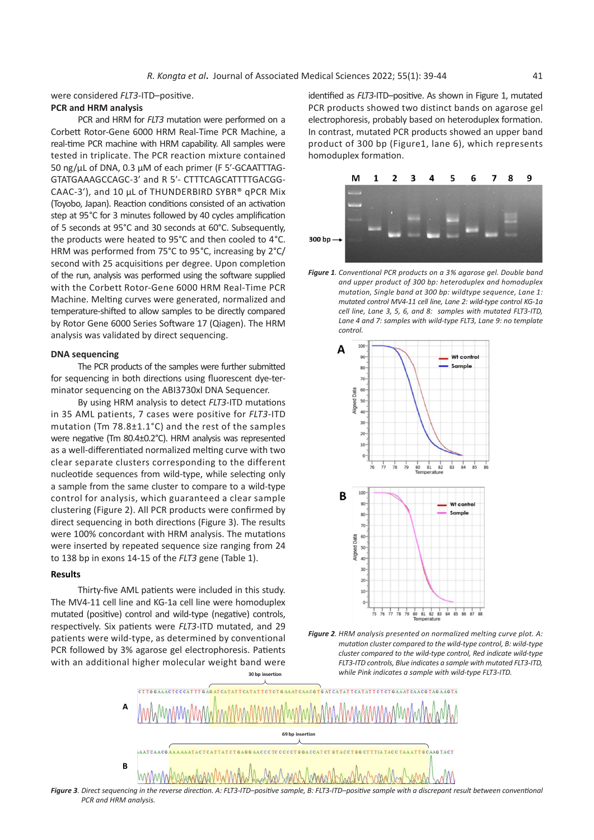were considered *FLT3*-ITD–positive.

## **PCR and HRM analysis**

PCR and HRM for *FLT3* mutation were performed on a Corbett Rotor-Gene 6000 HRM Real-Time PCR Machine, a real-time PCR machine with HRM capability. All samples were tested in triplicate. The PCR reaction mixture contained 50 ng/µL of DNA, 0.3 µM of each primer (F 5′-GCAATTTAG-GTATGAAAGCCAGC-3′ and R 5′- CTTTCAGCATTTTGACGG-(Toyobo, Japan). Reaction conditions consisted of an activation step at 95°C for 3 minutes followed by 40 cycles amplification of 5 seconds at 95°C and 30 seconds at 60°C. Subsequently, the products were heated to 95°C and then cooled to 4°C. **300 bp**  $\rightarrow$ HRM was performed from 75°C to 95°C, increasing by 2°C/<br>
HRM was performed from 75°C to 95°C, increasing by 2°C/ second with 25 acquisitions per degree. Upon completion of the run, analysis was performed using the software supplied with the Corbett Rotor-Gene 6000 HRM Real-Time PCR Machine. Melting curves were generated, normalized and mutated control MV4-11 cell line, Lane 2: w temperature-shifted to allow samples to be directly compared by Rotor Gene 6000 Series Software 17 (Qiagen). The HRM Lane 4 and 7: samples with wild-type FLT3, Lane 9: no template<br>control. control. analysis was validated by direct sequencing.

## **DNA sequencing**

The PCR products of the samples were further submitted  $\begin{array}{ccc} \bullet & \bullet \\ \bullet & \bullet \end{array}$ for sequencing in both directions using fluorescent dye-ter-<br> $\frac{1}{2}$ minator sequencing on the ABI3730xl DNA Sequencer.  $\frac{1}{2}$  or  $\frac{1}{2}$  . All PCRR sample clustering on the ABI3730xl DNA Sequencer.

By using HRM analysis to detect *FLT3*-ITD mutations in 35 AML patients, 7 cases were positive for *FLT3*-ITD mutation (Tm 78.8±1.1°C) and the rest of the samples were negative (Tm 80.4±0.2°C). HRM analysis was represented as a well-differentiated normalized melting curve with two clear separate clusters corresponding to the different nucleotide sequences from wild-type, while selecting only a sample from the same cluster to compare to a wild-type control for analysis, which guaranteed a clear sample clustering (Figure 2). All PCR products were confirmed by direct sequencing in both directions (Figure 3). The results were 100% concordant with HRM analysis. The mutations were inserted by repeated sequence size ranging from 24 to 138 bp in exons 14-15 of the *FLT3* gene (Table 1).

## **Results**

Thirty-five AML patients were included in this study. The MV4-11 cell line and KG-1a cell line were homoduplex **Figure 2 Plan and MG-1a** cell line were homoduplex mutated (positive) control and wild-type (negative) controls, respectively. Six patients were *FLT3*-ITD mutated, and 29 PCR followed by 3% agarose gel electrophoresis. Patients *allocates compared to the wild-typering* with an additional higher molecular weight band were

identified as *FLT3*-ITD-positive. As shown in Figure 1, mutated PCR products showed two distinct bands on agarose gel n were performed on a electrophoresis, probably based on heteroduplex formation. In contrast, mutated PCR products showed an upper band product of 300 bp (Figure1, lane 6), which represents homoduplex formation. The samples were negative (Tm 80.4±0.2°C). HTM and the samples were negative (Tm 80.4±0.2°C). H



ormed using the software supplied **Figure 1**. Conventional PCR products on a 3% agarose gel. Double band and upper product of 300 bp: heteroduplex and homoduplex<br>**FIDM Bool Time BCB** and upper product of 300 bp: heteroduplex and homoduplex mutation, Single band at 300 bp: wildtype sequence, Lane 1: I curves were generated, normalized and *mutated control MV4-11 cell line, Lane 2: wild-type control KG-1a* of the cell line, Lane 3, 5, 6, and 8: samples with mutated FLT3-ITD, be directly compared *Lane 4 and 7: samples with wild-type FLT3, Lane 9: no template*  $L = 5 + 15$ , Lane 4 and 7: samples with wild-type FLT3, Lane 9: no template *control.*



patients were wild-type, as determined by conventional **Figure 2. HRM analysis presented on normalized melting curve plot. A:** matching curve plot. A: matching curve plot. A: mutation cluster compared to the wild-type cont *Figure 2. HRM analysis presented on normalized melting curve plot. A: mutation cluster compared to the wild-type control, B: wild-type cluster compared to the wild-type control, Red indicate wild-type FLT3-ITD controls, Blue indicates a sample with mutated FLT3-ITD,*  di inglier indicates a sample with mutated ruls-to the weller the with the controls, *Biue indicates a sample with mutated ruls-it D*,<br>30 bp insertion while Pink indicates a sample with wild-type FLT3-ITD.



*PCR and HRM analysis.*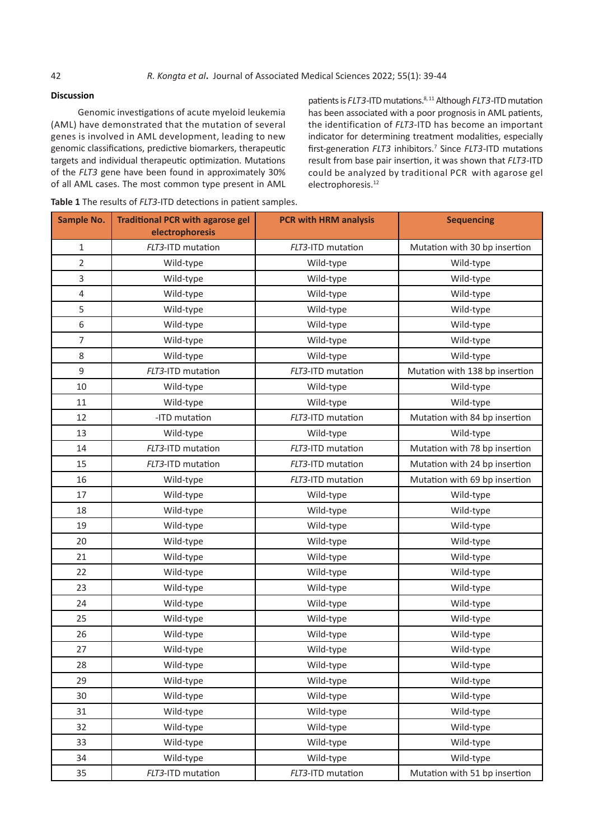## **Discussion**

Genomic investigations of acute myeloid leukemia (AML) have demonstrated that the mutation of several genes is involved in AML development, leading to new genomic classifications, predictive biomarkers, therapeutic targets and individual therapeutic optimization. Mutations of the *FLT3* gene have been found in approximately 30% of all AML cases. The most common type present in AML

patients is *FLT3*-ITD mutations.<sup>8, 11</sup> Although *FLT3*-ITD mutation has been associated with a poor prognosis in AML patients, the identification of *FLT3*-ITD has become an important indicator for determining treatment modalities, especially first-generation *FLT3* inhibitors.7 Since *FLT3*-ITD mutations result from base pair insertion, it was shown that *FLT3*-ITD could be analyzed by traditional PCR with agarose gel electrophoresis.<sup>12</sup>

| Table 1 The results of FLT3-ITD detections in patient samples. |  |
|----------------------------------------------------------------|--|
|----------------------------------------------------------------|--|

| <b>Sample No.</b> | <b>Traditional PCR with agarose gel</b><br>electrophoresis | <b>PCR with HRM analysis</b> | <b>Sequencing</b>              |
|-------------------|------------------------------------------------------------|------------------------------|--------------------------------|
| $\mathbf 1$       | FLT3-ITD mutation                                          | FLT3-ITD mutation            | Mutation with 30 bp insertion  |
| $\overline{2}$    | Wild-type                                                  | Wild-type                    | Wild-type                      |
| 3                 | Wild-type                                                  | Wild-type                    | Wild-type                      |
| $\overline{4}$    | Wild-type                                                  | Wild-type                    | Wild-type                      |
| 5                 | Wild-type                                                  | Wild-type                    | Wild-type                      |
| 6                 | Wild-type                                                  | Wild-type                    | Wild-type                      |
| $\overline{7}$    | Wild-type                                                  | Wild-type                    | Wild-type                      |
| 8                 | Wild-type                                                  | Wild-type                    | Wild-type                      |
| 9                 | FLT3-ITD mutation                                          | FLT3-ITD mutation            | Mutation with 138 bp insertion |
| $10\,$            | Wild-type                                                  | Wild-type                    | Wild-type                      |
| 11                | Wild-type                                                  | Wild-type                    | Wild-type                      |
| 12                | -ITD mutation                                              | FLT3-ITD mutation            | Mutation with 84 bp insertion  |
| 13                | Wild-type                                                  | Wild-type                    | Wild-type                      |
| 14                | FLT3-ITD mutation                                          | FLT3-ITD mutation            | Mutation with 78 bp insertion  |
| 15                | FLT3-ITD mutation                                          | FLT3-ITD mutation            | Mutation with 24 bp insertion  |
| 16                | Wild-type                                                  | FLT3-ITD mutation            | Mutation with 69 bp insertion  |
| 17                | Wild-type                                                  | Wild-type                    | Wild-type                      |
| 18                | Wild-type                                                  | Wild-type                    | Wild-type                      |
| 19                | Wild-type                                                  | Wild-type                    | Wild-type                      |
| 20                | Wild-type                                                  | Wild-type                    | Wild-type                      |
| 21                | Wild-type                                                  | Wild-type                    | Wild-type                      |
| 22                | Wild-type                                                  | Wild-type                    | Wild-type                      |
| 23                | Wild-type                                                  | Wild-type                    | Wild-type                      |
| 24                | Wild-type                                                  | Wild-type                    | Wild-type                      |
| 25                | Wild-type                                                  | Wild-type                    | Wild-type                      |
| 26                | Wild-type                                                  | Wild-type                    | Wild-type                      |
| 27                | Wild-type                                                  | Wild-type                    | Wild-type                      |
| 28                | Wild-type                                                  | Wild-type                    | Wild-type                      |
| 29                | Wild-type                                                  | Wild-type                    | Wild-type                      |
| 30                | Wild-type                                                  | Wild-type                    | Wild-type                      |
| 31                | Wild-type                                                  | Wild-type                    | Wild-type                      |
| 32                | Wild-type                                                  | Wild-type                    | Wild-type                      |
| 33                | Wild-type                                                  | Wild-type                    | Wild-type                      |
| 34                | Wild-type                                                  | Wild-type                    | Wild-type                      |
| 35                | FLT3-ITD mutation                                          | FLT3-ITD mutation            | Mutation with 51 bp insertion  |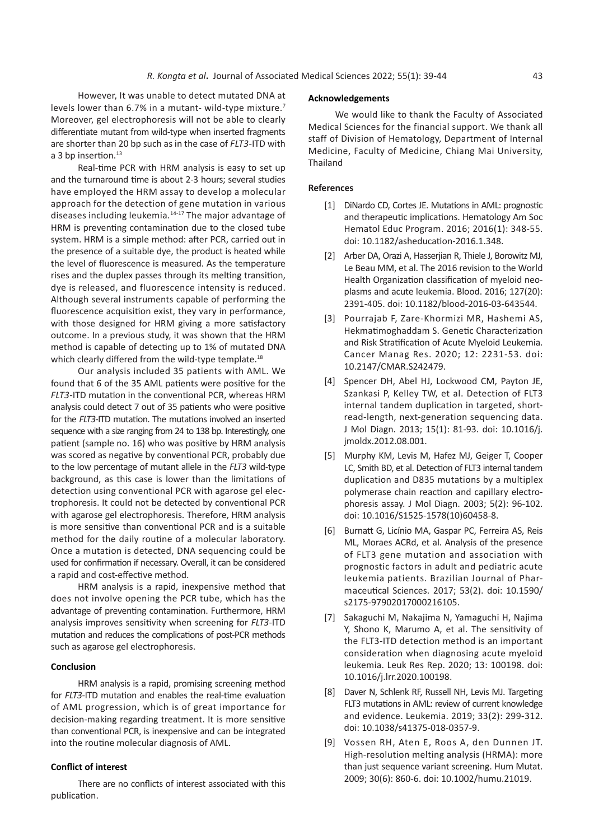However, It was unable to detect mutated DNA at levels lower than 6.7% in a mutant- wild-type mixture.7 Moreover, gel electrophoresis will not be able to clearly differentiate mutant from wild-type when inserted fragments are shorter than 20 bp such as in the case of *FLT3*-ITD with a 3 bp insertion.<sup>13</sup>

Real-time PCR with HRM analysis is easy to set up and the turnaround time is about 2-3 hours; several studies have employed the HRM assay to develop a molecular approach for the detection of gene mutation in various diseases including leukemia.14-17 The major advantage of HRM is preventing contamination due to the closed tube system. HRM is a simple method: after PCR, carried out in the presence of a suitable dye, the product is heated while the level of fluorescence is measured. As the temperature rises and the duplex passes through its melting transition, dye is released, and fluorescence intensity is reduced. Although several instruments capable of performing the fluorescence acquisition exist, they vary in performance, with those designed for HRM giving a more satisfactory outcome. In a previous study, it was shown that the HRM method is capable of detecting up to 1% of mutated DNA which clearly differed from the wild-type template.<sup>18</sup>

Our analysis included 35 patients with AML. We found that 6 of the 35 AML patients were positive for the *FLT3*-ITD mutation in the conventional PCR, whereas HRM analysis could detect 7 out of 35 patients who were positive for the *FLT3*-ITD mutation. The mutations involved an inserted sequence with a size ranging from 24 to 138 bp. Interestingly, one patient (sample no. 16) who was positive by HRM analysis was scored as negative by conventional PCR, probably due to the low percentage of mutant allele in the *FLT3* wild-type background, as this case is lower than the limitations of detection using conventional PCR with agarose gel electrophoresis. It could not be detected by conventional PCR with agarose gel electrophoresis. Therefore, HRM analysis is more sensitive than conventional PCR and is a suitable method for the daily routine of a molecular laboratory. Once a mutation is detected, DNA sequencing could be used for confirmation if necessary. Overall, it can be considered a rapid and cost-effective method.

HRM analysis is a rapid, inexpensive method that does not involve opening the PCR tube, which has the advantage of preventing contamination. Furthermore, HRM analysis improves sensitivity when screening for *FLT3*-ITD mutation and reduces the complications of post-PCR methods such as agarose gel electrophoresis.

## **Conclusion**

HRM analysis is a rapid, promising screening method for *FLT3*-ITD mutation and enables the real-time evaluation of AML progression, which is of great importance for decision-making regarding treatment. It is more sensitive than conventional PCR, is inexpensive and can be integrated into the routine molecular diagnosis of AML.

## **Conflict of interest**

There are no conflicts of interest associated with this publication.

### **Acknowledgements**

We would like to thank the Faculty of Associated Medical Sciences for the financial support. We thank all staff of Division of Hematology, Department of Internal Medicine, Faculty of Medicine, Chiang Mai University, Thailand

#### **References**

- [1] DiNardo CD, Cortes JE. Mutations in AML: prognostic and therapeutic implications. Hematology Am Soc Hematol Educ Program. 2016; 2016(1): 348-55. doi: 10.1182/asheducation-2016.1.348.
- [2] Arber DA, Orazi A, Hasserjian R, Thiele J, Borowitz MJ, Le Beau MM, et al. The 2016 revision to the World Health Organization classification of myeloid neoplasms and acute leukemia. Blood. 2016; 127(20): 2391-405. doi: 10.1182/blood-2016-03-643544.
- [3] Pourrajab F, Zare-Khormizi MR, Hashemi AS, Hekmatimoghaddam S. Genetic Characterization and Risk Stratification of Acute Myeloid Leukemia. Cancer Manag Res. 2020; 12: 2231-53. doi: 10.2147/CMAR.S242479.
- [4] Spencer DH, Abel HJ, Lockwood CM, Payton JE, Szankasi P, Kelley TW, et al. Detection of FLT3 internal tandem duplication in targeted, shortread-length, next-generation sequencing data. J Mol Diagn. 2013; 15(1): 81-93. doi: 10.1016/j. jmoldx.2012.08.001.
- [5] Murphy KM, Levis M, Hafez MJ, Geiger T, Cooper LC, Smith BD, et al. Detection of FLT3 internal tandem duplication and D835 mutations by a multiplex polymerase chain reaction and capillary electrophoresis assay. J Mol Diagn. 2003; 5(2): 96-102. doi: 10.1016/S1525-1578(10)60458-8.
- [6] Burnatt G, Licínio MA, Gaspar PC, Ferreira AS, Reis ML, Moraes ACRd, et al. Analysis of the presence of FLT3 gene mutation and association with prognostic factors in adult and pediatric acute leukemia patients. Brazilian Journal of Pharmaceutical Sciences. 2017; 53(2). doi: 10.1590/ s2175-97902017000216105.
- [7] Sakaguchi M, Nakajima N, Yamaguchi H, Najima Y, Shono K, Marumo A, et al. The sensitivity of the FLT3-ITD detection method is an important consideration when diagnosing acute myeloid leukemia. Leuk Res Rep. 2020; 13: 100198. doi: 10.1016/j.lrr.2020.100198.
- [8] Daver N, Schlenk RF, Russell NH, Levis MJ. Targeting FLT3 mutations in AML: review of current knowledge and evidence. Leukemia. 2019; 33(2): 299-312. doi: 10.1038/s41375-018-0357-9.
- [9] Vossen RH, Aten E, Roos A, den Dunnen JT. High-resolution melting analysis (HRMA): more than just sequence variant screening. Hum Mutat. 2009; 30(6): 860-6. doi: 10.1002/humu.21019.